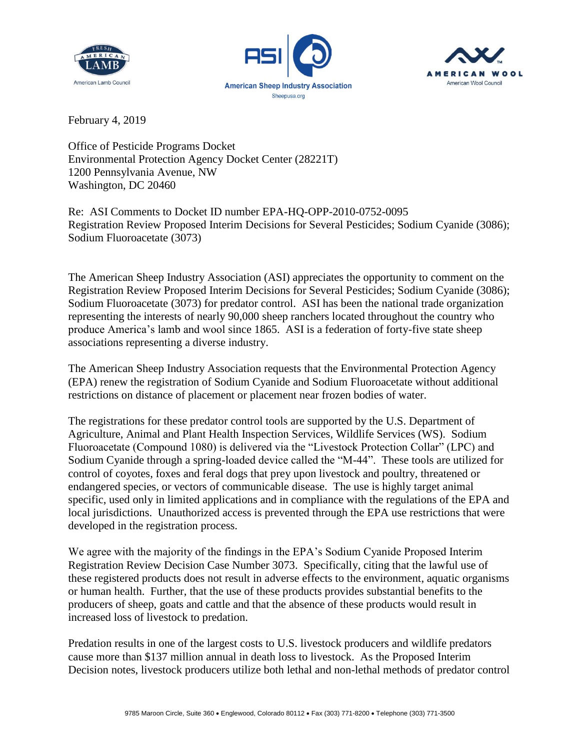





February 4, 2019

Office of Pesticide Programs Docket Environmental Protection Agency Docket Center (28221T) 1200 Pennsylvania Avenue, NW Washington, DC 20460

Re: ASI Comments to Docket ID number EPA-HQ-OPP-2010-0752-0095 Registration Review Proposed Interim Decisions for Several Pesticides; Sodium Cyanide (3086); Sodium Fluoroacetate (3073)

The American Sheep Industry Association (ASI) appreciates the opportunity to comment on the Registration Review Proposed Interim Decisions for Several Pesticides; Sodium Cyanide (3086); Sodium Fluoroacetate (3073) for predator control. ASI has been the national trade organization representing the interests of nearly 90,000 sheep ranchers located throughout the country who produce America's lamb and wool since 1865. ASI is a federation of forty-five state sheep associations representing a diverse industry.

The American Sheep Industry Association requests that the Environmental Protection Agency (EPA) renew the registration of Sodium Cyanide and Sodium Fluoroacetate without additional restrictions on distance of placement or placement near frozen bodies of water.

The registrations for these predator control tools are supported by the U.S. Department of Agriculture, Animal and Plant Health Inspection Services, Wildlife Services (WS). Sodium Fluoroacetate (Compound 1080) is delivered via the "Livestock Protection Collar" (LPC) and Sodium Cyanide through a spring-loaded device called the "M-44". These tools are utilized for control of coyotes, foxes and feral dogs that prey upon livestock and poultry, threatened or endangered species, or vectors of communicable disease. The use is highly target animal specific, used only in limited applications and in compliance with the regulations of the EPA and local jurisdictions. Unauthorized access is prevented through the EPA use restrictions that were developed in the registration process.

We agree with the majority of the findings in the EPA's Sodium Cyanide Proposed Interim Registration Review Decision Case Number 3073. Specifically, citing that the lawful use of these registered products does not result in adverse effects to the environment, aquatic organisms or human health. Further, that the use of these products provides substantial benefits to the producers of sheep, goats and cattle and that the absence of these products would result in increased loss of livestock to predation.

Predation results in one of the largest costs to U.S. livestock producers and wildlife predators cause more than \$137 million annual in death loss to livestock. As the Proposed Interim Decision notes, livestock producers utilize both lethal and non-lethal methods of predator control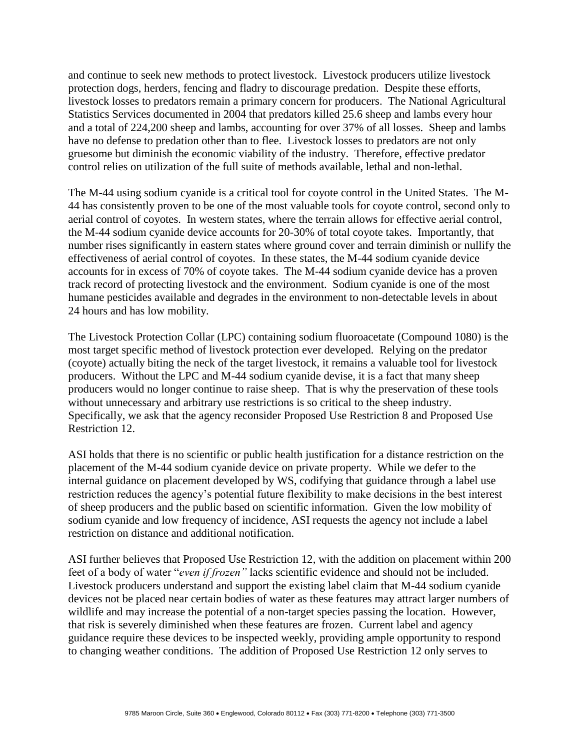and continue to seek new methods to protect livestock. Livestock producers utilize livestock protection dogs, herders, fencing and fladry to discourage predation. Despite these efforts, livestock losses to predators remain a primary concern for producers. The National Agricultural Statistics Services documented in 2004 that predators killed 25.6 sheep and lambs every hour and a total of 224,200 sheep and lambs, accounting for over 37% of all losses. Sheep and lambs have no defense to predation other than to flee. Livestock losses to predators are not only gruesome but diminish the economic viability of the industry. Therefore, effective predator control relies on utilization of the full suite of methods available, lethal and non-lethal.

The M-44 using sodium cyanide is a critical tool for coyote control in the United States. The M-44 has consistently proven to be one of the most valuable tools for coyote control, second only to aerial control of coyotes. In western states, where the terrain allows for effective aerial control, the M-44 sodium cyanide device accounts for 20-30% of total coyote takes. Importantly, that number rises significantly in eastern states where ground cover and terrain diminish or nullify the effectiveness of aerial control of coyotes. In these states, the M-44 sodium cyanide device accounts for in excess of 70% of coyote takes. The M-44 sodium cyanide device has a proven track record of protecting livestock and the environment. Sodium cyanide is one of the most humane pesticides available and degrades in the environment to non-detectable levels in about 24 hours and has low mobility.

The Livestock Protection Collar (LPC) containing sodium fluoroacetate (Compound 1080) is the most target specific method of livestock protection ever developed. Relying on the predator (coyote) actually biting the neck of the target livestock, it remains a valuable tool for livestock producers. Without the LPC and M-44 sodium cyanide devise, it is a fact that many sheep producers would no longer continue to raise sheep. That is why the preservation of these tools without unnecessary and arbitrary use restrictions is so critical to the sheep industry. Specifically, we ask that the agency reconsider Proposed Use Restriction 8 and Proposed Use Restriction 12.

ASI holds that there is no scientific or public health justification for a distance restriction on the placement of the M-44 sodium cyanide device on private property. While we defer to the internal guidance on placement developed by WS, codifying that guidance through a label use restriction reduces the agency's potential future flexibility to make decisions in the best interest of sheep producers and the public based on scientific information. Given the low mobility of sodium cyanide and low frequency of incidence, ASI requests the agency not include a label restriction on distance and additional notification.

ASI further believes that Proposed Use Restriction 12, with the addition on placement within 200 feet of a body of water "*even if frozen"* lacks scientific evidence and should not be included. Livestock producers understand and support the existing label claim that M-44 sodium cyanide devices not be placed near certain bodies of water as these features may attract larger numbers of wildlife and may increase the potential of a non-target species passing the location. However, that risk is severely diminished when these features are frozen. Current label and agency guidance require these devices to be inspected weekly, providing ample opportunity to respond to changing weather conditions. The addition of Proposed Use Restriction 12 only serves to